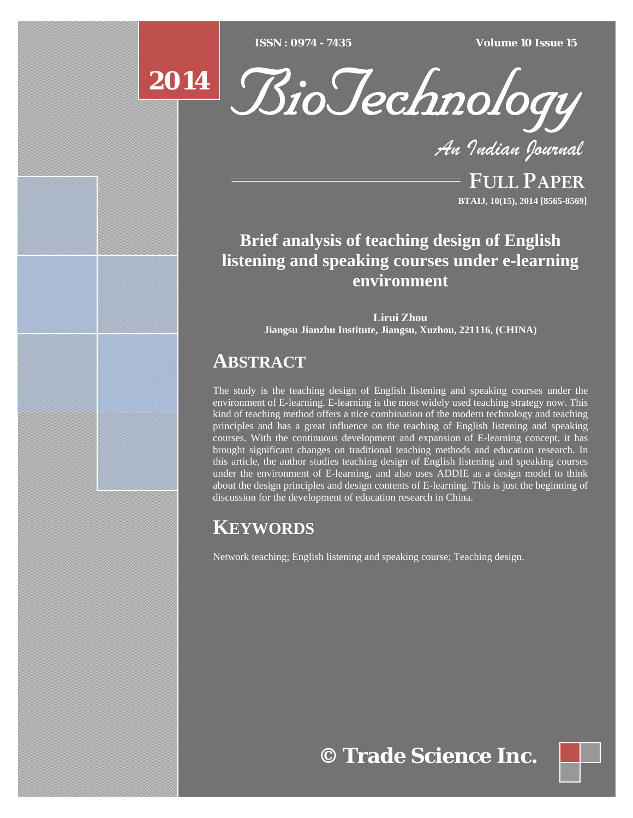$ISSN : 0974 - 7435$ 

*ISSN : 0974 - 7435 Volume 10 Issue 15*



*An Indian Journal*

FULL PAPER **BTAIJ, 10(15), 2014 [8565-8569]**

# **Brief analysis of teaching design of English listening and speaking courses under e-learning environment**

**Lirui Zhou Jiangsu Jianzhu Institute, Jiangsu, Xuzhou, 221116, (CHINA)**

# **ABSTRACT**

The study is the teaching design of English listening and speaking courses under the environment of E-learning. E-learning is the most widely used teaching strategy now. This kind of teaching method offers a nice combination of the modern technology and teaching principles and has a great influence on the teaching of English listening and speaking courses. With the continuous development and expansion of E-learning concept, it has brought significant changes on traditional teaching methods and education research. In this article, the author studies teaching design of English listening and speaking courses under the environment of E-learning, and also uses ADDIE as a design model to think about the design principles and design contents of E-learning. This is just the beginning of discussion for the development of education research in China.

# **KEYWORDS**

Network teaching; English listening and speaking course; Teaching design.

**© Trade Science Inc.**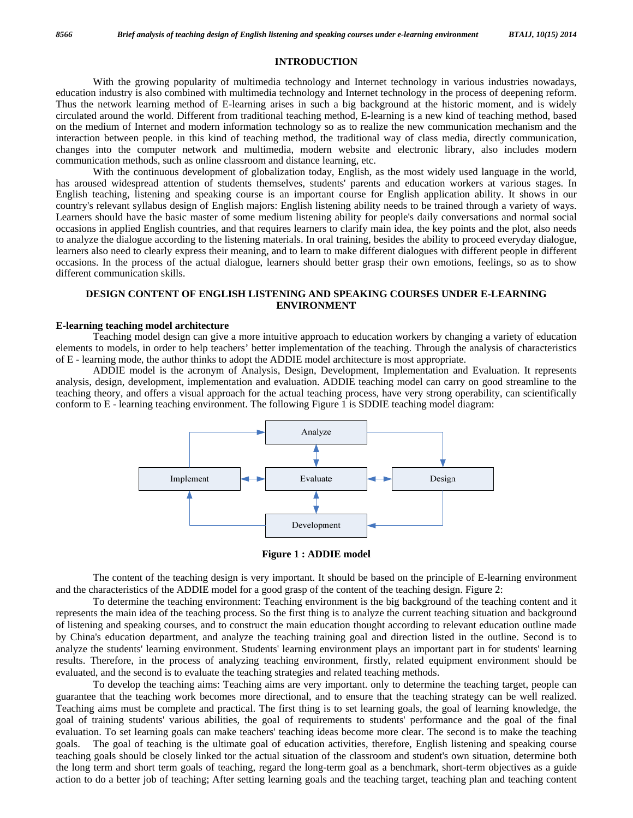# **INTRODUCTION**

 With the growing popularity of multimedia technology and Internet technology in various industries nowadays, education industry is also combined with multimedia technology and Internet technology in the process of deepening reform. Thus the network learning method of E-learning arises in such a big background at the historic moment, and is widely circulated around the world. Different from traditional teaching method, E-learning is a new kind of teaching method, based on the medium of Internet and modern information technology so as to realize the new communication mechanism and the interaction between people. in this kind of teaching method, the traditional way of class media, directly communication, changes into the computer network and multimedia, modern website and electronic library, also includes modern communication methods, such as online classroom and distance learning, etc.

With the continuous development of globalization today, English, as the most widely used language in the world, has aroused widespread attention of students themselves, students' parents and education workers at various stages. In English teaching, listening and speaking course is an important course for English application ability. It shows in our country's relevant syllabus design of English majors: English listening ability needs to be trained through a variety of ways. Learners should have the basic master of some medium listening ability for people's daily conversations and normal social occasions in applied English countries, and that requires learners to clarify main idea, the key points and the plot, also needs to analyze the dialogue according to the listening materials. In oral training, besides the ability to proceed everyday dialogue, learners also need to clearly express their meaning, and to learn to make different dialogues with different people in different occasions. In the process of the actual dialogue, learners should better grasp their own emotions, feelings, so as to show different communication skills.

# **DESIGN CONTENT OF ENGLISH LISTENING AND SPEAKING COURSES UNDER E-LEARNING ENVIRONMENT**

### **E-learning teaching model architecture**

 Teaching model design can give a more intuitive approach to education workers by changing a variety of education elements to models, in order to help teachers' better implementation of the teaching. Through the analysis of characteristics of E - learning mode, the author thinks to adopt the ADDIE model architecture is most appropriate.

 ADDIE model is the acronym of Analysis, Design, Development, Implementation and Evaluation. It represents analysis, design, development, implementation and evaluation. ADDIE teaching model can carry on good streamline to the teaching theory, and offers a visual approach for the actual teaching process, have very strong operability, can scientifically conform to E - learning teaching environment. The following Figure 1 is SDDIE teaching model diagram:



**Figure 1 : ADDIE model** 

 The content of the teaching design is very important. It should be based on the principle of E-learning environment and the characteristics of the ADDIE model for a good grasp of the content of the teaching design. Figure 2:

 To determine the teaching environment: Teaching environment is the big background of the teaching content and it represents the main idea of the teaching process. So the first thing is to analyze the current teaching situation and background of listening and speaking courses, and to construct the main education thought according to relevant education outline made by China's education department, and analyze the teaching training goal and direction listed in the outline. Second is to analyze the students' learning environment. Students' learning environment plays an important part in for students' learning results. Therefore, in the process of analyzing teaching environment, firstly, related equipment environment should be evaluated, and the second is to evaluate the teaching strategies and related teaching methods.

 To develop the teaching aims: Teaching aims are very important. only to determine the teaching target, people can guarantee that the teaching work becomes more directional, and to ensure that the teaching strategy can be well realized. Teaching aims must be complete and practical. The first thing is to set learning goals, the goal of learning knowledge, the goal of training students' various abilities, the goal of requirements to students' performance and the goal of the final evaluation. To set learning goals can make teachers' teaching ideas become more clear. The second is to make the teaching goals. The goal of teaching is the ultimate goal of education activities, therefore, English listening and speaking course teaching goals should be closely linked tor the actual situation of the classroom and student's own situation, determine both the long term and short term goals of teaching, regard the long-term goal as a benchmark, short-term objectives as a guide action to do a better job of teaching; After setting learning goals and the teaching target, teaching plan and teaching content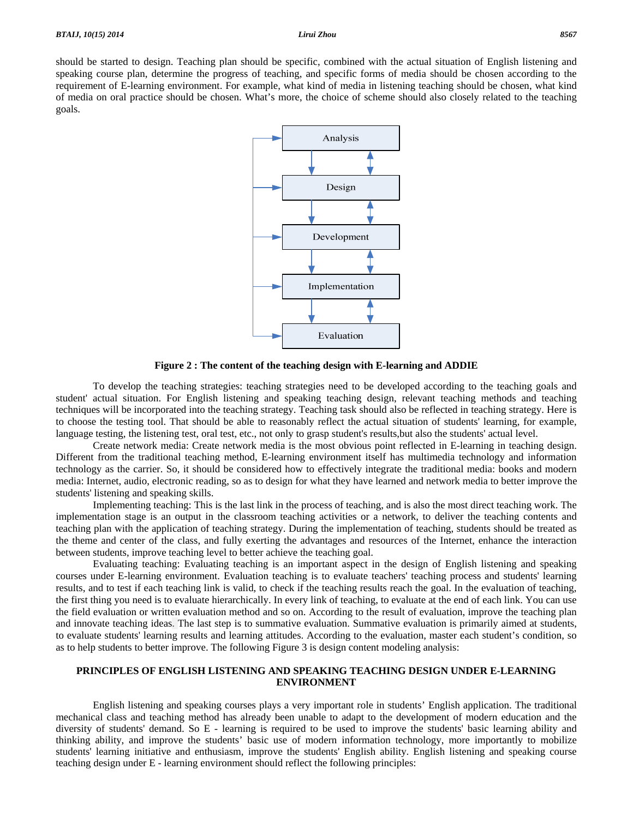

**Figure 2 : The content of the teaching design with E-learning and ADDIE** 

 To develop the teaching strategies: teaching strategies need to be developed according to the teaching goals and student' actual situation. For English listening and speaking teaching design, relevant teaching methods and teaching techniques will be incorporated into the teaching strategy. Teaching task should also be reflected in teaching strategy. Here is to choose the testing tool. That should be able to reasonably reflect the actual situation of students' learning, for example, language testing, the listening test, oral test, etc., not only to grasp student's results,but also the students' actual level.

 Create network media: Create network media is the most obvious point reflected in E-learning in teaching design. Different from the traditional teaching method, E-learning environment itself has multimedia technology and information technology as the carrier. So, it should be considered how to effectively integrate the traditional media: books and modern media: Internet, audio, electronic reading, so as to design for what they have learned and network media to better improve the students' listening and speaking skills.

 Implementing teaching: This is the last link in the process of teaching, and is also the most direct teaching work. The implementation stage is an output in the classroom teaching activities or a network, to deliver the teaching contents and teaching plan with the application of teaching strategy. During the implementation of teaching, students should be treated as the theme and center of the class, and fully exerting the advantages and resources of the Internet, enhance the interaction between students, improve teaching level to better achieve the teaching goal.

 Evaluating teaching: Evaluating teaching is an important aspect in the design of English listening and speaking courses under E-learning environment. Evaluation teaching is to evaluate teachers' teaching process and students' learning results, and to test if each teaching link is valid, to check if the teaching results reach the goal. In the evaluation of teaching, the first thing you need is to evaluate hierarchically. In every link of teaching, to evaluate at the end of each link. You can use the field evaluation or written evaluation method and so on. According to the result of evaluation, improve the teaching plan and innovate teaching ideas. The last step is to summative evaluation. Summative evaluation is primarily aimed at students, to evaluate students' learning results and learning attitudes. According to the evaluation, master each student's condition, so as to help students to better improve. The following Figure 3 is design content modeling analysis:

# **PRINCIPLES OF ENGLISH LISTENING AND SPEAKING TEACHING DESIGN UNDER E-LEARNING ENVIRONMENT**

 English listening and speaking courses plays a very important role in students' English application. The traditional mechanical class and teaching method has already been unable to adapt to the development of modern education and the diversity of students' demand. So E - learning is required to be used to improve the students' basic learning ability and thinking ability, and improve the students' basic use of modern information technology, more importantly to mobilize students' learning initiative and enthusiasm, improve the students' English ability. English listening and speaking course teaching design under E - learning environment should reflect the following principles: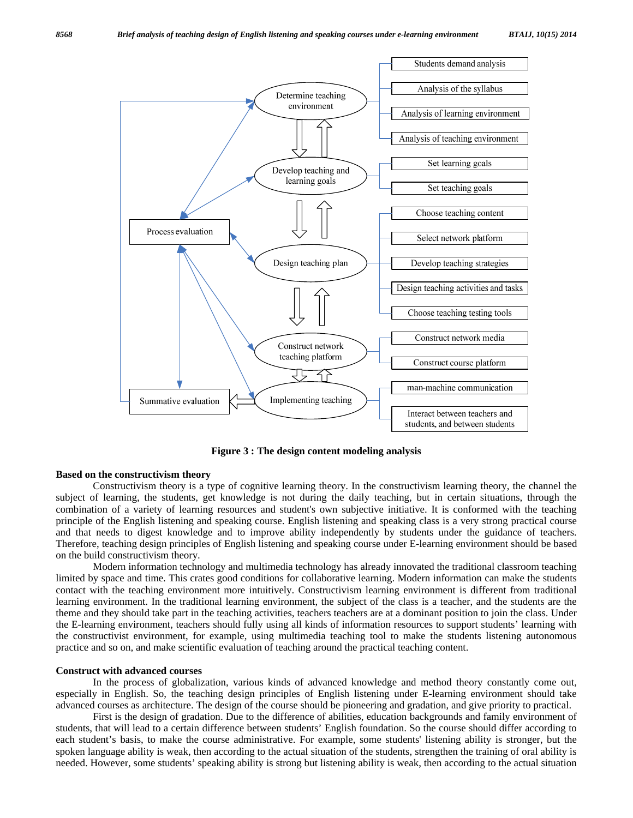

**Figure 3 : The design content modeling analysis** 

## **Based on the constructivism theory**

 Constructivism theory is a type of cognitive learning theory. In the constructivism learning theory, the channel the subject of learning, the students, get knowledge is not during the daily teaching, but in certain situations, through the combination of a variety of learning resources and student's own subjective initiative. It is conformed with the teaching principle of the English listening and speaking course. English listening and speaking class is a very strong practical course and that needs to digest knowledge and to improve ability independently by students under the guidance of teachers. Therefore, teaching design principles of English listening and speaking course under E-learning environment should be based on the build constructivism theory.

 Modern information technology and multimedia technology has already innovated the traditional classroom teaching limited by space and time. This crates good conditions for collaborative learning. Modern information can make the students contact with the teaching environment more intuitively. Constructivism learning environment is different from traditional learning environment. In the traditional learning environment, the subject of the class is a teacher, and the students are the theme and they should take part in the teaching activities, teachers teachers are at a dominant position to join the class. Under the E-learning environment, teachers should fully using all kinds of information resources to support students' learning with the constructivist environment, for example, using multimedia teaching tool to make the students listening autonomous practice and so on, and make scientific evaluation of teaching around the practical teaching content.

### **Construct with advanced courses**

 In the process of globalization, various kinds of advanced knowledge and method theory constantly come out, especially in English. So, the teaching design principles of English listening under E-learning environment should take advanced courses as architecture. The design of the course should be pioneering and gradation, and give priority to practical.

 First is the design of gradation. Due to the difference of abilities, education backgrounds and family environment of students, that will lead to a certain difference between students' English foundation. So the course should differ according to each student's basis, to make the course administrative. For example, some students' listening ability is stronger, but the spoken language ability is weak, then according to the actual situation of the students, strengthen the training of oral ability is needed. However, some students' speaking ability is strong but listening ability is weak, then according to the actual situation